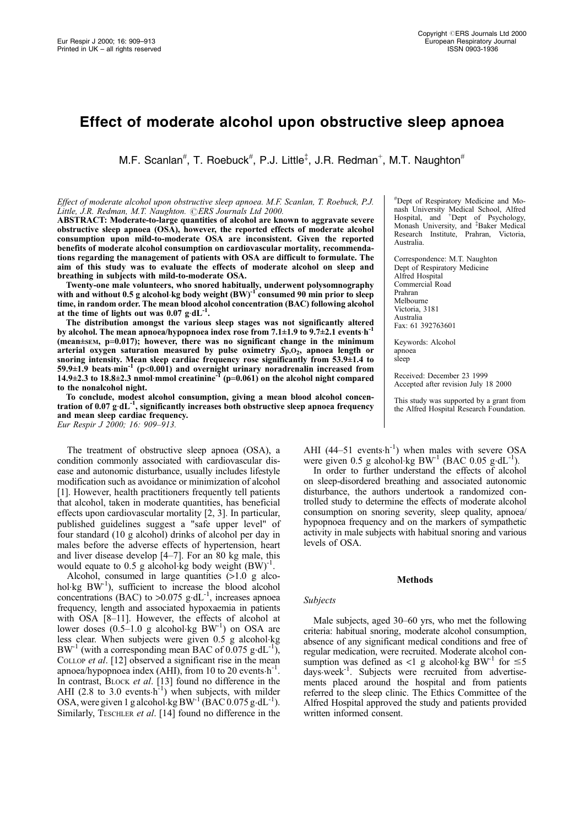# Effect of moderate alcohol upon obstructive sleep apnoea

M.F. Scanlan<sup>#</sup>, T. Roebuck<sup>#</sup>, P.J. Little<sup>‡</sup>, J.R. Redman<sup>+</sup>, M.T. Naughton<sup>#</sup>

# Effect of moderate alcohol upon obstructive sleep apnoea. M.F. Scanlan, T. Roebuck, P.J. Little, J.R. Redman, M.T. Naughton. ©ERS Journals Ltd 2000.

ABSTRACT: Moderate-to-large quantities of alcohol are known to aggravate severe obstructive sleep apnoea (OSA), however, the reported effects of moderate alcohol consumption upon mild-to-moderate OSA are inconsistent. Given the reported benefits of moderate alcohol consumption on cardiovascular mortality, recommendations regarding the management of patients with OSA are difficult to formulate. The aim of this study was to evaluate the effects of moderate alcohol on sleep and breathing in subjects with mild-to-moderate OSA.

Twenty-one male volunteers, who snored habitually, underwent polysomnography with and without 0.5 g alcohol kg body weight (BW)<sup>-1</sup> consumed 90 min prior to sleep time, in random order. The mean blood alcohol concentration (BAC) following alcohol<br>at the time of lights out was 0.07 g·dL<sup>-1</sup>.

The distribution amongst the various sleep stages was not significantly altered by alcohol. The mean apnoea/hypopnoea index rose from  $7.1\pm1.9$  to  $9.7\pm2.1$  events h<sup>-</sup>  $(mean \pm sem, p=0.017)$ ; however, there was no significant change in the minimum arterial oxygen saturation measured by pulse oximetry  $Sp. O<sub>2</sub>$ , apnoea length or snoring intensity. Mean sleep cardiac frequency rose significantly from  $53.9\pm1.4$  to 59.9 $\pm$ 1.9 beats min<sup>-1</sup> (p<0.001) and overnight urinary noradrenalin increased from 14.9 $\pm$ 2.3 to 18.8 $\pm$ 2.3 nmol·mmol creatinine<sup>-1</sup> (p=0.061) on the alcohol night compared to the nonalcohol night.

To conclude, modest alcohol consumption, giving a mean blood alcohol concentration of 0.07  $g \cdot dL^{-1}$ , significantly increases both obstructive sleep apnoea frequency and mean sleep cardiac frequency. Eur Respir J 2000; 16: 909-913.

The treatment of obstructive sleep apnoea (OSA), a condition commonly associated with cardiovascular disease and autonomic disturbance, usually includes lifestyle modification such as avoidance or minimization of alcohol [1]. However, health practitioners frequently tell patients that alcohol, taken in moderate quantities, has beneficial effects upon cardiovascular mortality [2, 3]. In particular, published guidelines suggest a "safe upper level" of four standard (10 g alcohol) drinks of alcohol per day in males before the adverse effects of hypertension, heart

and liver disease develop  $[4–7]$ . For an 80 kg male, this

would equate to 0.5 g alcohol $\cdot$ kg body weight  $(BW)^{-1}$ . Alcohol, consumed in large quantities (>1.0 g alcohol $\text{kg BW}^1$ ), sufficient to increase the blood alcohol concentrations (BAC) to  $>0.075$  g.dL<sup>-1</sup>, increases apnoea frequency, length and associated hypoxaemia in patients with OSA [8-11]. However, the effects of alcohol at lower doses  $(0.5-1.0 \text{ g alcohol·kg BW}^{-1})$  on OSA are less clear. When subjects were given 0.5 g alcohol.kg  $BW^{-1}$  (with a corresponding mean BAC of 0.075 g·dL<sup>-1</sup>), COLLOP et al. [12] observed a significant rise in the mean apnoea/hypopnoea index (AHI), from 10 to 20 events $\cdot h^{-1}$ . In contrast, BLOCK et al. [13] found no difference in the AHI (2.8 to 3.0 events $\cdot$ h<sup>-1</sup>) when subjects, with milder OSA, were given 1 g alcohol.kg  $BW^{-1}$  (BAC 0.075 g.d.L<sup>-1</sup>). Similarly, TESCHLER et al. [14] found no difference in the

# Dept of Respiratory Medicine and Monash University Medical School, Alfred<br>Hospital, and <sup>+</sup>Dept of Psychology, Monash University, and <sup>‡</sup>Baker Medical Research Institute, Prahran, Victoria, Australia.

Correspondence: M.T. Naughton Dept of Respiratory Medicine Alfred Hospital Commercial Road Prahran Melbourne Victoria, 3181 Australia Fax: 61 392763601

Keywords: Alcohol apnoea sleep

Received: December 23 1999 Accepted after revision July 18 2000

This study was supported by a grant from the Alfred Hospital Research Foundation.

AHI (44-51 events $\cdot h^{-1}$ ) when males with severe OSA were given 0.5 g alcohol.kg  $BW^{-1}$  (BAC 0.05 g.dL<sup>-1</sup>).

In order to further understand the effects of alcohol on sleep-disordered breathing and associated autonomic disturbance, the authors undertook a randomized controlled study to determine the effects of moderate alcohol consumption on snoring severity, sleep quality, apnoea/ hypopnoea frequency and on the markers of sympathetic activity in male subjects with habitual snoring and various levels of OSA.

# **Methods**

# Subjects

Male subjects, aged 30–60 yrs, who met the following criteria: habitual snoring, moderate alcohol consumption, absence of any significant medical conditions and free of regular medication, were recruited. Moderate alcohol consumption was defined as <1 g alcohol.kg BW<sup>-1</sup> for  $\leq$ 5 days week<sup>-1</sup>. Subjects were recruited from advertisements placed around the hospital and from patients referred to the sleep clinic. The Ethics Committee of the Alfred Hospital approved the study and patients provided written informed consent.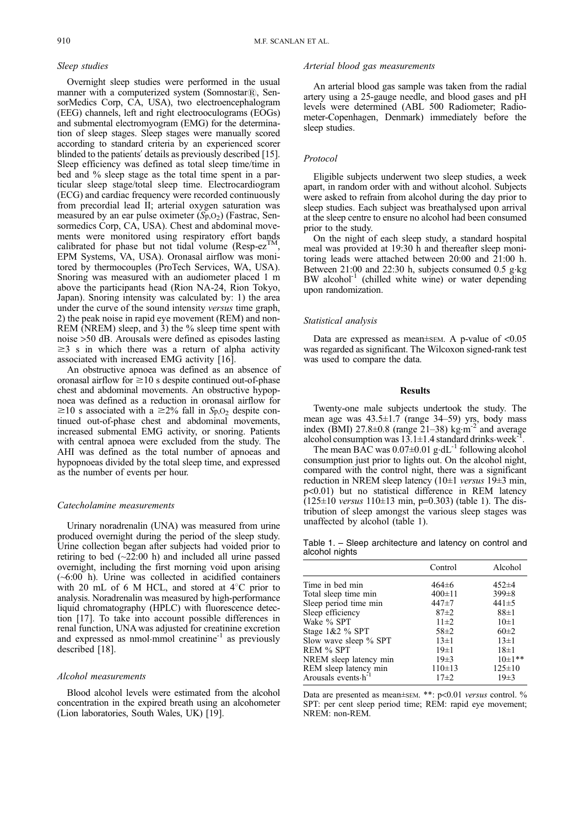### Sleep studies

Overnight sleep studies were performed in the usual manner with a computerized system (Somnostar $\overline{R}$ ), SensorMedics Corp, CA, USA), two electroencephalogram (EEG) channels, left and right electrooculograms (EOGs) and submental electromyogram (EMG) for the determination of sleep stages. Sleep stages were manually scored according to standard criteria by an experienced scorer blinded to the patients' details as previously described [15]. Sleep efficiency was defined as total sleep time/time in bed and % sleep stage as the total time spent in a particular sleep stage/total sleep time. Electrocardiogram (ECG) and cardiac frequency were recorded continuously from precordial lead II; arterial oxygen saturation was measured by an ear pulse oximeter  $(S_p, O_2)$  (Fastrac, Sensormedics Corp, CA, USA). Chest and abdominal movements were monitored using respiratory effort bands calibrated for phase but not tidal volume (Resp-ez<sup>TM</sup>, EPM Systems, VA, USA). Oronasal airflow was monitored by thermocouples (ProTech Services, WA, USA). Snoring was measured with an audiometer placed 1 m above the participants head (Rion NA-24, Rion Tokyo, Japan). Snoring intensity was calculated by: 1) the area under the curve of the sound intensity versus time graph, 2) the peak noise in rapid eye movement (REM) and non-REM (NREM) sleep, and 3) the % sleep time spent with noise >50 dB. Arousals were defined as episodes lasting  $\geq$  s in which there was a return of alpha activity associated with increased EMG activity [16].

An obstructive apnoea was defined as an absence of oronasal airflow for  $\geq 10$  s despite continued out-of-phase chest and abdominal movements. An obstructive hypopnoea was defined as a reduction in oronasal airflow for  $\geq$ 10 s associated with a  $\geq$ 2% fall in S<sub>p</sub>,O<sub>2</sub> despite continued out-of-phase chest and abdominal movements, increased submental EMG activity, or snoring. Patients with central apnoea were excluded from the study. The AHI was defined as the total number of apnoeas and hypopnoeas divided by the total sleep time, and expressed as the number of events per hour.

# Catecholamine measurements

Urinary noradrenalin (UNA) was measured from urine produced overnight during the period of the sleep study. Urine collection began after subjects had voided prior to retiring to bed  $(\sim 22:00 \text{ h})$  and included all urine passed overnight, including the first morning void upon arising (~6:00 h). Urine was collected in acidified containers with 20 mL of 6 M HCL, and stored at  $4^{\circ}$ C prior to analysis. Noradrenalin was measured by high-performance liquid chromatography (HPLC) with fluorescence detection [17]. To take into account possible differences in renal function, UNA was adjusted for creatinine excretion and expressed as nmol-mmol creatinine<sup>-1</sup> as previously described [18].

#### Alcohol measurements

Blood alcohol levels were estimated from the alcohol concentration in the expired breath using an alcohometer (Lion laboratories, South Wales, UK) [19].

#### Arterial blood gas measurements

An arterial blood gas sample was taken from the radial artery using a 25-gauge needle, and blood gases and pH levels were determined (ABL 500 Radiometer; Radiometer-Copenhagen, Denmark) immediately before the sleep studies.

#### Protocol

Eligible subjects underwent two sleep studies, a week apart, in random order with and without alcohol. Subjects were asked to refrain from alcohol during the day prior to sleep studies. Each subject was breathalysed upon arrival at the sleep centre to ensure no alcohol had been consumed prior to the study.

On the night of each sleep study, a standard hospital meal was provided at 19:30 h and thereafter sleep monitoring leads were attached between 20:00 and 21:00 h. Between 21:00 and 22:30 h, subjects consumed 0.5 g.kg BW alcohol<sup>-1</sup> (chilled white wine) or water depending upon randomization.

#### Statistical analysis

Data are expressed as mean $\pm$ SEM. A p-value of <0.05 was regarded as significant. The Wilcoxon signed-rank test was used to compare the data.

# Results

Twenty-one male subjects undertook the study. The mean age was  $43.5 \pm 1.7$  (range  $34-59$ ) yrs, body mass index (BMI) 27.8 $\pm$ 0.8 (range 21–38) kg·m<sup>-2</sup> and average alcohol consumption was  $13.1 \pm 1.4$  standard drinks.week-

The mean BAC was  $0.07\pm0.01$  g $\cdot dL^{-1}$  following alcohol consumption just prior to lights out. On the alcohol night, compared with the control night, there was a significant reduction in NREM sleep latency (10 $\pm$ 1 versus 19 $\pm$ 3 min, p<0.01) but no statistical difference in REM latency  $(125\pm10 \text{ versus } 110\pm13 \text{ min}, p=0.303)$  (table 1). The distribution of sleep amongst the various sleep stages was unaffected by alcohol (table 1).

Table 1. - Sleep architecture and latency on control and alcohol nights

|                                | Control      | Alcohol      |
|--------------------------------|--------------|--------------|
| Time in bed min                | $464\pm 6$   | $452 + 4$    |
| Total sleep time min           | $400 \pm 11$ | $399 \pm 8$  |
| Sleep period time min          | 447±7        | $441\pm5$    |
| Sleep efficiency               | $87+2$       | $88 \pm 1$   |
| Wake % SPT                     | $11\pm 2$    | $10\pm1$     |
| Stage $1&2%$ SPT               | $58 \pm 2$   | $60\pm2$     |
| Slow wave sleep % SPT          | $13\pm1$     | $13\pm1$     |
| REM % SPT                      | $19\pm1$     | $18\pm1$     |
| NREM sleep latency min         | $19\pm3$     | $10\pm1**$   |
| REM sleep latency min          | $110 \pm 13$ | $125 \pm 10$ |
| Arousals events $\cdot h^{-1}$ | $17\pm 2$    | $19\pm3$     |

Data are presented as mean $\pm$ sEM. \*\*: p<0.01 versus control. % SPT: per cent sleep period time; REM: rapid eye movement; NREM: non-REM.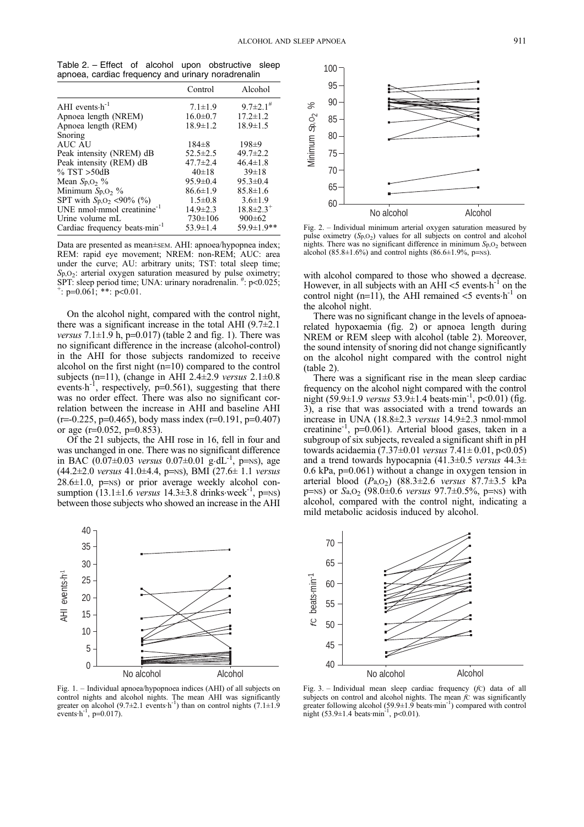Table 2. - Effect of alcohol upon obstructive sleep apnoea, cardiac frequency and urinary noradrenalin

|                                                | Control        | Alcohol                     |
|------------------------------------------------|----------------|-----------------------------|
| AHI events $\cdot h^{-1}$                      | $7.1 \pm 1.9$  | $9.7 \pm 2.1$ <sup>#</sup>  |
| Apnoea length (NREM)                           | $16.0 \pm 0.7$ | $17.2 \pm 1.2$              |
| Apnoea length (REM)                            | $18.9 \pm 1.2$ | $18.9 \pm 1.5$              |
| Snoring                                        |                |                             |
| AUC AU                                         | $184\pm8$      | $198+9$                     |
| Peak intensity (NREM) dB                       | $52.5 \pm 2.5$ | $49.7 \pm 2.2$              |
| Peak intensity (REM) dB                        | $47.7 \pm 2.4$ | $46.4 \pm 1.8$              |
| $\%$ TST $>50dB$                               | 40±18          | $39 \pm 18$                 |
| Mean $S_{p,O}$ %                               | $95.9 \pm 0.4$ | $95.3 \pm 0.4$              |
| Minimum $S_{p,Q_2}$ %                          | $86.6 \pm 1.9$ | $85.8 \pm 1.6$              |
| SPT with $S_{p,O_2}$ <90% (%)                  | $1.5 \pm 0.8$  | $3.6 \pm 1.9$               |
| UNE nmol $\cdot$ mmol creatinine <sup>-1</sup> | $14.9 \pm 2.3$ | $18.8 \pm 2.3$ <sup>+</sup> |
| Urine volume mL                                | $730 \pm 106$  | $900 \pm 62$                |
| Cardiac frequency beats min <sup>-1</sup>      | $53.9 \pm 1.4$ | $59.9 \pm 1.9$ **           |

Data are presented as mean±sEM. AHI: apnoea/hypopnea index; REM: rapid eye movement; NREM: non-REM; AUC: area under the curve; AU: arbitrary units; TST: total sleep time; Sp, O<sub>2</sub>: arterial oxygen saturation measured by pulse oximetry; SPT: sleep period time; UNA: urinary noradrenalin.  $\stackrel{\#}{\dashrightarrow}$  p<0.025;  $\stackrel{+}{\cdot}$ : p=0.061; \*\*: p<0.01.

On the alcohol night, compared with the control night, there was a significant increase in the total AHI  $(9.7\pm2.1)$ *versus*  $7.1\pm1.9$  h,  $p=0.017$ ) (table 2 and fig. 1). There was no significant difference in the increase (alcohol-control) in the AHI for those subjects randomized to receive alcohol on the first night (n=10) compared to the control subjects (n=11), (change in AHI 2.4 $\pm$ 2.9 versus 2.1 $\pm$ 0.8 events.h<sup>-1</sup>, respectively,  $p=0.561$ ), suggesting that there was no order effect. There was also no significant correlation between the increase in AHI and baseline AHI  $(r=0.225, p=0.465)$ , body mass index  $(r=0.191, p=0.407)$ or age ( $r=0.052$ ,  $p=0.853$ ).

Of the 21 subjects, the AHI rose in 16, fell in four and was unchanged in one. There was no significant difference in BAC (0.07 $\pm$ 0.03 versus 0.07 $\pm$ 0.01 g·dL<sup>-1</sup>, p=NS), age (44.2±2.0 versus 41.0±4.4, p=NS), BMI (27.6± 1.1 versus  $28.6\pm1.0$ , p=NS) or prior average weekly alcohol consumption  $(13.1 \pm 1.6 \text{ versus } 14.3 \pm 3.8 \text{ drinks week}^{-1}, \text{ p=Ns})$ between those subjects who showed an increase in the AHI



Fig. 1. - Individual apnoea/hypopnoea indices (AHI) of all subjects on control nights and alcohol nights. The mean AHI was significantly greater on alcohol (9.7 $\pm$ 2.1 events $\cdot$ h<sup>-1</sup>) than on control nights (7.1 $\pm$ 1.9 events $h^{-1}$ , p=0.017).



Fig. 2. - Individual minimum arterial oxygen saturation measured by pulse oximetry  $(S_p, O_2)$  values for all subjects on control and alcohol nights. There was no significant difference in minimum  $Sp_1O_2$  between alcohol (85.8±1.6%) and control nights (86.6±1.9%, p= $NS$ ).

with alcohol compared to those who showed a decrease. However, in all subjects with an AHI  $<$ 5 events $\cdot$ h<sup>-1</sup> on the control night (n=11), the AHI remained  $<$ 5 events $\cdot$ h<sup>-1</sup> on the alcohol night.

There was no significant change in the levels of apnoearelated hypoxaemia (fig. 2) or apnoea length during NREM or REM sleep with alcohol (table 2). Moreover, the sound intensity of snoring did not change significantly on the alcohol night compared with the control night (table 2).

There was a significant rise in the mean sleep cardiac frequency on the alcohol night compared with the control night (59.9 $\pm$ 1.9 versus 53.9 $\pm$ 1.4 beats $\cdot$ min<sup>-1</sup>, p<0.01) (fig. 3), a rise that was associated with a trend towards an increase in UNA  $(18.8 \pm 2.3 \text{ versus } 14.9 \pm 2.3 \text{ nmol·mmol}$ creatinine-1, p=0.061). Arterial blood gases, taken in a subgroup of six subjects, revealed a significant shift in pH towards acidaemia (7.37 $\pm$ 0.01 versus 7.41 $\pm$ 0.01, p<0.05) and a trend towards hypocapnia (41.3 $\pm$ 0.5 versus 44.3 $\pm$ 0.6 kPa, p=0.061) without a change in oxygen tension in arterial blood  $(P_{a, O_2})$   $(88.3 \pm 2.6 \text{ versus } 87.7 \pm 3.5 \text{ kPa})$ p=NS) or  $S_{a,0}$  (98.0±0.6 versus 97.7±0.5%, p=NS) with alcohol, compared with the control night, indicating a mild metabolic acidosis induced by alcohol.



Fig. 3.  $-$  Individual mean sleep cardiac frequency  $(fC)$  data of all subjects on control and alcohol nights. The mean  $\hat{f}$ C was significantly greater following alcohol (59.9 $\pm$ 1.9 beats min<sup>-1</sup>) compared with control night  $(53.9 \pm 1.4 \text{ beats} \cdot \text{min}^{-1}, \text{ p} < 0.01)$ .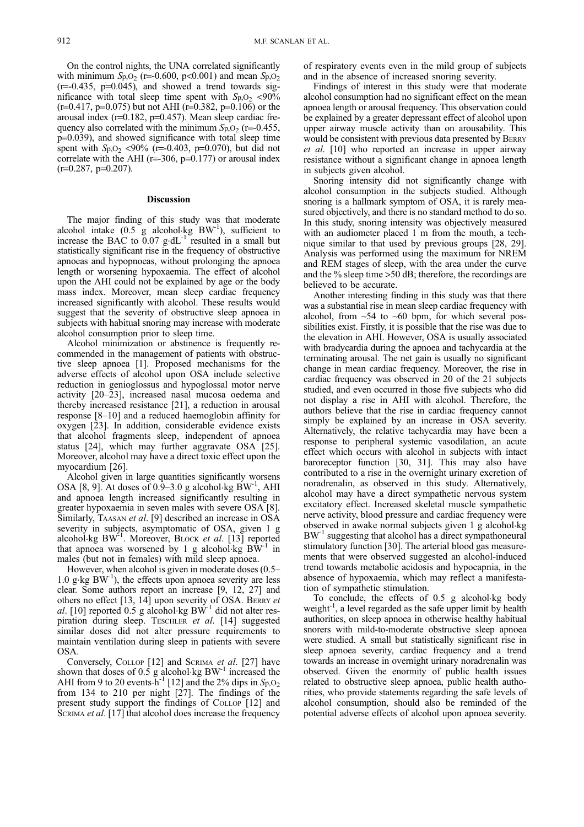On the control nights, the UNA correlated significantly with minimum  $Sp_2$  (r=-0.600, p<0.001) and mean  $Sp_2$  $(r=0.435, p=0.045)$ , and showed a trend towards significance with total sleep time spent with  $Sp. O<sub>2</sub> < 90\%$  $(r=0.417, p=0.075)$  but not AHI ( $r=0.382, p=0.106$ ) or the arousal index  $(r=0.182, p=0.457)$ . Mean sleep cardiac frequency also correlated with the minimum  $Sp. O<sub>2</sub>$  (r=-0.455, p=0.039), and showed significance with total sleep time spent with  $S_{p,0}$  <90% (r=-0.403, p=0.070), but did not correlate with the AHI ( $r=306$ ,  $p=0.177$ ) or arousal index  $(r=0.287, p=0.207)$ .

## Discussion

The major finding of this study was that moderate alcohol intake  $(0.5 \text{ g alcohol kg} \text{ B W}^{-1})$ , sufficient to increase the BAC to  $\overline{0.07}$  g.dL<sup>-1</sup> resulted in a small but statistically significant rise in the frequency of obstructive apnoeas and hypopnoeas, without prolonging the apnoea length or worsening hypoxaemia. The effect of alcohol upon the AHI could not be explained by age or the body mass index. Moreover, mean sleep cardiac frequency increased significantly with alcohol. These results would suggest that the severity of obstructive sleep apnoea in subjects with habitual snoring may increase with moderate alcohol consumption prior to sleep time.

Alcohol minimization or abstinence is frequently recommended in the management of patients with obstructive sleep apnoea [1]. Proposed mechanisms for the adverse effects of alcohol upon OSA include selective reduction in genioglossus and hypoglossal motor nerve activity [20-23], increased nasal mucosa oedema and thereby increased resistance [21], a reduction in arousal response  $[8-10]$  and a reduced haemoglobin affinity for oxygen [23]. In addition, considerable evidence exists that alcohol fragments sleep, independent of apnoea status [24], which may further aggravate OSA [25]. Moreover, alcohol may have a direct toxic effect upon the myocardium [26].

Alcohol given in large quantities significantly worsens OSA [8, 9]. At doses of  $0.9-3.0$  g alcohol.kg BW<sup>-1</sup>, AHI and apnoea length increased significantly resulting in greater hypoxaemia in seven males with severe OSA [8]. Similarly, TAASAN et al. [9] described an increase in OSA severity in subjects, asymptomatic of OSA, given 1 g alcohol.kg BW<sup>-1</sup>. Moreover, BLOCK et al. [13] reported that apnoea was worsened by 1 g alcohol $kg$  BW<sup>-1</sup> in males (but not in females) with mild sleep apnoea.

However, when alcohol is given in moderate doses  $(0.5+1)$ 1.0  $g \text{·kg BW}^{-1}$ ), the effects upon apnoea severity are less clear. Some authors report an increase [9, 12, 27] and others no effect [13, 14] upon severity of OSA. BERRY et al. [10] reported  $0.5$  g alcohol.kg BW<sup>-1</sup> did not alter respiration during sleep. TESCHLER et al. [14] suggested similar doses did not alter pressure requirements to maintain ventilation during sleep in patients with severe OSA.

Conversely, COLLOP [12] and SCRIMA et al. [27] have shown that doses of 0.5 g alcohol kg BW<sup>-1</sup> increased the AHI from 9 to 20 events  $\mathbf{h}^{-1}$  [12] and the 2% dips in  $Sp_2$ , 02 from 134 to 210 per night [27]. The findings of the present study support the findings of COLLOP [12] and SCRIMA *et al.* [17] that alcohol does increase the frequency

of respiratory events even in the mild group of subjects and in the absence of increased snoring severity.

Findings of interest in this study were that moderate alcohol consumption had no significant effect on the mean apnoea length or arousal frequency. This observation could be explained by a greater depressant effect of alcohol upon upper airway muscle activity than on arousability. This would be consistent with previous data presented by BERRY et al. [10] who reported an increase in upper airway resistance without a significant change in apnoea length in subjects given alcohol.

Snoring intensity did not significantly change with alcohol consumption in the subjects studied. Although snoring is a hallmark symptom of OSA, it is rarely measured objectively, and there is no standard method to do so. In this study, snoring intensity was objectively measured with an audiometer placed 1 m from the mouth, a technique similar to that used by previous groups [28, 29]. Analysis was performed using the maximum for NREM and REM stages of sleep, with the area under the curve and the % sleep time >50 dB; therefore, the recordings are believed to be accurate.

Another interesting finding in this study was that there was a substantial rise in mean sleep cardiac frequency with alcohol, from  $~54$  to  $~60$  bpm, for which several possibilities exist. Firstly, it is possible that the rise was due to the elevation in AHI. However, OSA is usually associated with bradycardia during the apnoea and tachycardia at the terminating arousal. The net gain is usually no significant change in mean cardiac frequency. Moreover, the rise in cardiac frequency was observed in 20 of the 21 subjects studied, and even occurred in those five subjects who did not display a rise in AHI with alcohol. Therefore, the authors believe that the rise in cardiac frequency cannot simply be explained by an increase in OSA severity. Alternatively, the relative tachycardia may have been a response to peripheral systemic vasodilation, an acute effect which occurs with alcohol in subjects with intact baroreceptor function [30, 31]. This may also have contributed to a rise in the overnight urinary excretion of noradrenalin, as observed in this study. Alternatively, alcohol may have a direct sympathetic nervous system excitatory effect. Increased skeletal muscle sympathetic nerve activity, blood pressure and cardiac frequency were observed in awake normal subjects given 1 g alcohol.kg BW<sup>-1</sup> suggesting that alcohol has a direct sympathoneural stimulatory function [30]. The arterial blood gas measurements that were observed suggested an alcohol-induced trend towards metabolic acidosis and hypocapnia, in the absence of hypoxaemia, which may reflect a manifestation of sympathetic stimulation.

To conclude, the effects of 0.5 g alcohol.kg body weight<sup>-1</sup>, a level regarded as the safe upper limit by health authorities, on sleep apnoea in otherwise healthy habitual snorers with mild-to-moderate obstructive sleep apnoea were studied. A small but statistically significant rise in sleep apnoea severity, cardiac frequency and a trend towards an increase in overnight urinary noradrenalin was observed. Given the enormity of public health issues related to obstructive sleep apnoea, public health authorities, who provide statements regarding the safe levels of alcohol consumption, should also be reminded of the potential adverse effects of alcohol upon apnoea severity.